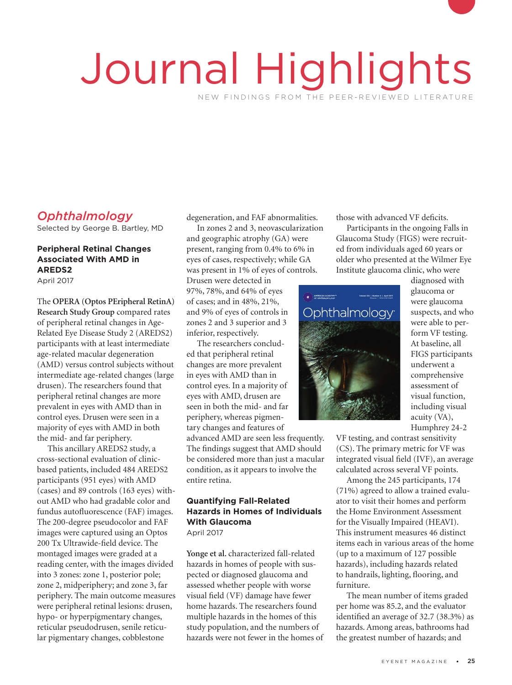# Journal Highlights NEW FINDINGS FROM THE PEER-REVIEWED LITERATURE

# *Ophthalmology*

Selected by George B. Bartley, MD

## **Peripheral Retinal Changes Associated With AMD in AREDS2**

April 2017

The **OPERA (Optos PEripheral RetinA) Research Study Group** compared rates of peripheral retinal changes in Age-Related Eye Disease Study 2 (AREDS2) participants with at least intermediate age-related macular degeneration (AMD) versus control subjects without intermediate age-related changes (large drusen). The researchers found that peripheral retinal changes are more prevalent in eyes with AMD than in control eyes. Drusen were seen in a majority of eyes with AMD in both the mid- and far periphery.

This ancillary AREDS2 study, a cross-sectional evaluation of clinicbased patients, included 484 AREDS2 participants (951 eyes) with AMD (cases) and 89 controls (163 eyes) without AMD who had gradable color and fundus autofluorescence (FAF) images. The 200-degree pseudocolor and FAF images were captured using an Optos 200 Tx Ultrawide-field device. The montaged images were graded at a reading center, with the images divided into 3 zones: zone 1, posterior pole; zone 2, midperiphery; and zone 3, far periphery. The main outcome measures were peripheral retinal lesions: drusen, hypo- or hyperpigmentary changes, reticular pseudodrusen, senile reticular pigmentary changes, cobblestone

degeneration, and FAF abnormalities.

In zones 2 and 3, neovascularization and geographic atrophy (GA) were present, ranging from 0.4% to 6% in eyes of cases, respectively; while GA was present in 1% of eyes of controls.

Drusen were detected in 97%, 78%, and 64% of eyes of cases; and in 48%, 21%, and 9% of eyes of controls in zones 2 and 3 superior and 3 inferior, respectively.

The researchers concluded that peripheral retinal The researchers concluded<br>that peripheral retinal<br>changes are more prevalent in eyes with AMD than in control eyes. In a majority of eyes with AMD, drusen are seen in both the mid- and far periphery, whereas pigmentary changes and features of advanced AMD are seen less frequently. The findings suggest that AMD should be considered more than just a macular condition, as it appears to involve the

## **Quantifying Fall-Related Hazards in Homes of Individuals With Glaucoma** April 2017

entire retina.

**Yonge et al.** characterized fall-related hazards in homes of people with suspected or diagnosed glaucoma and assessed whether people with worse visual field (VF) damage have fewer home hazards. The researchers found multiple hazards in the homes of this study population, and the numbers of hazards were not fewer in the homes of those with advanced VF deficits.

Participants in the ongoing Falls in Glaucoma Study (FIGS) were recruited from individuals aged 60 years or older who presented at the Wilmer Eye Institute glaucoma clinic, who were



diagnosed with glaucoma or were glaucoma suspects, and who were able to perform VF testing. At baseline, all FIGS participants underwent a comprehensive assessment of visual function, including visual acuity (VA), Humphrey 24-2

VF testing, and contrast sensitivity (CS). The primary metric for VF was integrated visual field (IVF), an average calculated across several VF points.

Among the 245 participants, 174 (71%) agreed to allow a trained evaluator to visit their homes and perform the Home Environment Assessment for the Visually Impaired (HEAVI). This instrument measures 46 distinct items each in various areas of the home (up to a maximum of 127 possible hazards), including hazards related to handrails, lighting, flooring, and furniture.

The mean number of items graded per home was 85.2, and the evaluator identified an average of 32.7 (38.3%) as hazards. Among areas, bathrooms had the greatest number of hazards; and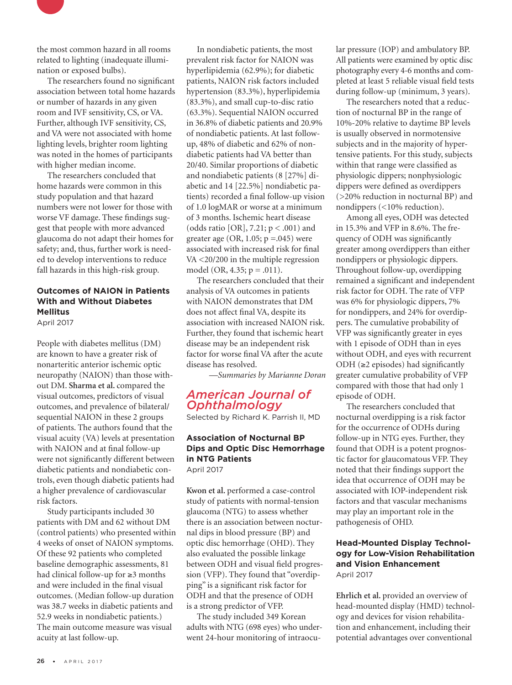

the most common hazard in all rooms related to lighting (inadequate illumination or exposed bulbs).

The researchers found no significant association between total home hazards or number of hazards in any given room and IVF sensitivity, CS, or VA. Further, although IVF sensitivity, CS, and VA were not associated with home lighting levels, brighter room lighting was noted in the homes of participants with higher median income.

The researchers concluded that home hazards were common in this study population and that hazard numbers were not lower for those with worse VF damage. These findings suggest that people with more advanced glaucoma do not adapt their homes for safety; and, thus, further work is needed to develop interventions to reduce fall hazards in this high-risk group.

## **Outcomes of NAION in Patients With and Without Diabetes Mellitus**

April 2017

People with diabetes mellitus (DM) are known to have a greater risk of nonarteritic anterior ischemic optic neuropathy (NAION) than those without DM. **Sharma et al.** compared the visual outcomes, predictors of visual outcomes, and prevalence of bilateral/ sequential NAION in these 2 groups of patients. The authors found that the visual acuity (VA) levels at presentation with NAION and at final follow-up were not significantly different between diabetic patients and nondiabetic controls, even though diabetic patients had a higher prevalence of cardiovascular risk factors.

Study participants included 30 patients with DM and 62 without DM (control patients) who presented within 4 weeks of onset of NAION symptoms. Of these 92 patients who completed baseline demographic assessments, 81 had clinical follow-up for ≥3 months and were included in the final visual outcomes. (Median follow-up duration was 38.7 weeks in diabetic patients and 52.9 weeks in nondiabetic patients.) The main outcome measure was visual acuity at last follow-up.

In nondiabetic patients, the most prevalent risk factor for NAION was hyperlipidemia (62.9%); for diabetic patients, NAION risk factors included hypertension (83.3%), hyperlipidemia (83.3%), and small cup-to-disc ratio (63.3%). Sequential NAION occurred in 36.8% of diabetic patients and 20.9% of nondiabetic patients. At last followup, 48% of diabetic and 62% of nondiabetic patients had VA better than 20/40. Similar proportions of diabetic and nondiabetic patients (8 [27%] diabetic and 14 [22.5%] nondiabetic patients) recorded a final follow-up vision of 1.0 logMAR or worse at a minimum of 3 months. Ischemic heart disease (odds ratio [OR],  $7.21$ ;  $p < .001$ ) and greater age  $(OR, 1.05; p = .045)$  were associated with increased risk for final VA <20/200 in the multiple regression model (OR, 4.35; p = .011).

The researchers concluded that their analysis of VA outcomes in patients with NAION demonstrates that DM does not affect final VA, despite its association with increased NAION risk. Further, they found that ischemic heart disease may be an independent risk factor for worse final VA after the acute disease has resolved.

*—Summaries by Marianne Doran*

## *American Journal of Ophthalmology*

Selected by Richard K. Parrish II, MD

## **Association of Nocturnal BP Dips and Optic Disc Hemorrhage in NTG Patients** April 2017

**Kwon et al.** performed a case-control study of patients with normal-tension glaucoma (NTG) to assess whether there is an association between nocturnal dips in blood pressure (BP) and optic disc hemorrhage (OHD). They also evaluated the possible linkage between ODH and visual field progression (VFP). They found that "overdipping" is a significant risk factor for ODH and that the presence of ODH is a strong predictor of VFP.

The study included 349 Korean adults with NTG (698 eyes) who underwent 24-hour monitoring of intraocu-

lar pressure (IOP) and ambulatory BP. All patients were examined by optic disc photography every 4-6 months and completed at least 5 reliable visual field tests during follow-up (minimum, 3 years).

The researchers noted that a reduction of nocturnal BP in the range of 10%-20% relative to daytime BP levels is usually observed in normotensive subjects and in the majority of hypertensive patients. For this study, subjects within that range were classified as physiologic dippers; nonphysiologic dippers were defined as overdippers (>20% reduction in nocturnal BP) and nondippers (<10% reduction).

Among all eyes, ODH was detected in 15.3% and VFP in 8.6%. The frequency of ODH was significantly greater among overdippers than either nondippers or physiologic dippers. Throughout follow-up, overdipping remained a significant and independent risk factor for ODH. The rate of VFP was 6% for physiologic dippers, 7% for nondippers, and 24% for overdippers. The cumulative probability of VFP was significantly greater in eyes with 1 episode of ODH than in eyes without ODH, and eyes with recurrent ODH  $(\geq 2$  episodes) had significantly greater cumulative probability of VFP compared with those that had only 1 episode of ODH.

The researchers concluded that nocturnal overdipping is a risk factor for the occurrence of ODHs during follow-up in NTG eyes. Further, they found that ODH is a potent prognostic factor for glaucomatous VFP. They noted that their findings support the idea that occurrence of ODH may be associated with IOP-independent risk factors and that vascular mechanisms may play an important role in the pathogenesis of OHD.

## **Head-Mounted Display Technology for Low-Vision Rehabilitation and Vision Enhancement**  April 2017

**Ehrlich et al.** provided an overview of head-mounted display (HMD) technology and devices for vision rehabilitation and enhancement, including their potential advantages over conventional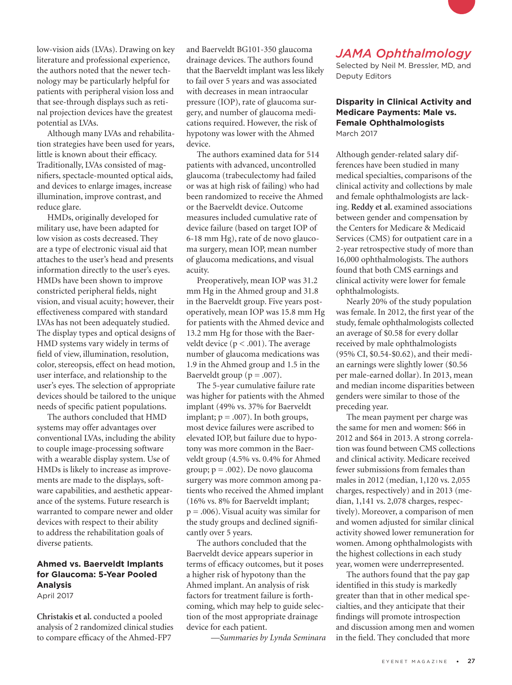low-vision aids (LVAs). Drawing on key literature and professional experience, the authors noted that the newer technology may be particularly helpful for patients with peripheral vision loss and that see-through displays such as retinal projection devices have the greatest potential as LVAs.

Although many LVAs and rehabilitation strategies have been used for years, little is known about their efficacy. Traditionally, LVAs consisted of magnifiers, spectacle-mounted optical aids, and devices to enlarge images, increase illumination, improve contrast, and reduce glare.

HMDs, originally developed for military use, have been adapted for low vision as costs decreased. They are a type of electronic visual aid that attaches to the user's head and presents information directly to the user's eyes. HMDs have been shown to improve constricted peripheral fields, night vision, and visual acuity; however, their effectiveness compared with standard LVAs has not been adequately studied. The display types and optical designs of HMD systems vary widely in terms of field of view, illumination, resolution, color, stereopsis, effect on head motion, user interface, and relationship to the user's eyes. The selection of appropriate devices should be tailored to the unique needs of specific patient populations.

The authors concluded that HMD systems may offer advantages over conventional LVAs, including the ability to couple image-processing software with a wearable display system. Use of HMDs is likely to increase as improvements are made to the displays, software capabilities, and aesthetic appearance of the systems. Future research is warranted to compare newer and older devices with respect to their ability to address the rehabilitation goals of diverse patients.

#### **Ahmed vs. Baerveldt Implants for Glaucoma: 5-Year Pooled Analysis** April 2017

**Christakis et al.** conducted a pooled analysis of 2 randomized clinical studies to compare efficacy of the Ahmed-FP7

and Baerveldt BG101-350 glaucoma drainage devices. The authors found that the Baerveldt implant was less likely to fail over 5 years and was associated with decreases in mean intraocular pressure (IOP), rate of glaucoma surgery, and number of glaucoma medications required. However, the risk of hypotony was lower with the Ahmed device.

The authors examined data for 514 patients with advanced, uncontrolled glaucoma (trabeculectomy had failed or was at high risk of failing) who had been randomized to receive the Ahmed or the Baerveldt device. Outcome measures included cumulative rate of device failure (based on target IOP of 6-18 mm Hg), rate of de novo glaucoma surgery, mean IOP, mean number of glaucoma medications, and visual acuity.

Preoperatively, mean IOP was 31.2 mm Hg in the Ahmed group and 31.8 in the Baerveldt group. Five years postoperatively, mean IOP was 15.8 mm Hg for patients with the Ahmed device and 13.2 mm Hg for those with the Baerveldt device ( $p < .001$ ). The average number of glaucoma medications was 1.9 in the Ahmed group and 1.5 in the Baerveldt group ( $p = .007$ ).

The 5-year cumulative failure rate was higher for patients with the Ahmed implant (49% vs. 37% for Baerveldt implant;  $p = .007$ ). In both groups, most device failures were ascribed to elevated IOP, but failure due to hypotony was more common in the Baerveldt group (4.5% vs. 0.4% for Ahmed group;  $p = .002$ ). De novo glaucoma surgery was more common among patients who received the Ahmed implant (16% vs. 8% for Baerveldt implant;  $p = .006$ ). Visual acuity was similar for the study groups and declined significantly over 5 years.

The authors concluded that the Baerveldt device appears superior in terms of efficacy outcomes, but it poses a higher risk of hypotony than the Ahmed implant. An analysis of risk factors for treatment failure is forthcoming, which may help to guide selection of the most appropriate drainage device for each patient.

*—Summaries by Lynda Seminara*

# *JAMA Ophthalmology*

Selected by Neil M. Bressler, MD, and Deputy Editors

#### **Disparity in Clinical Activity and Medicare Payments: Male vs. Female Ophthalmologists** March 2017

Although gender-related salary differences have been studied in many medical specialties, comparisons of the clinical activity and collections by male and female ophthalmologists are lacking. **Reddy et al.** examined associations between gender and compensation by the Centers for Medicare & Medicaid Services (CMS) for outpatient care in a 2-year retrospective study of more than 16,000 ophthalmologists. The authors found that both CMS earnings and clinical activity were lower for female ophthalmologists.

Nearly 20% of the study population was female. In 2012, the first year of the study, female ophthalmologists collected an average of \$0.58 for every dollar received by male ophthalmologists (95% CI, \$0.54-\$0.62), and their median earnings were slightly lower (\$0.56 per male-earned dollar). In 2013, mean and median income disparities between genders were similar to those of the preceding year.

The mean payment per charge was the same for men and women: \$66 in 2012 and \$64 in 2013. A strong correlation was found between CMS collections and clinical activity. Medicare received fewer submissions from females than males in 2012 (median, 1,120 vs. 2,055 charges, respectively) and in 2013 (median, 1,141 vs. 2,078 charges, respectively). Moreover, a comparison of men and women adjusted for similar clinical activity showed lower remuneration for women. Among ophthalmologists with the highest collections in each study year, women were underrepresented.

The authors found that the pay gap identified in this study is markedly greater than that in other medical specialties, and they anticipate that their findings will promote introspection and discussion among men and women in the field. They concluded that more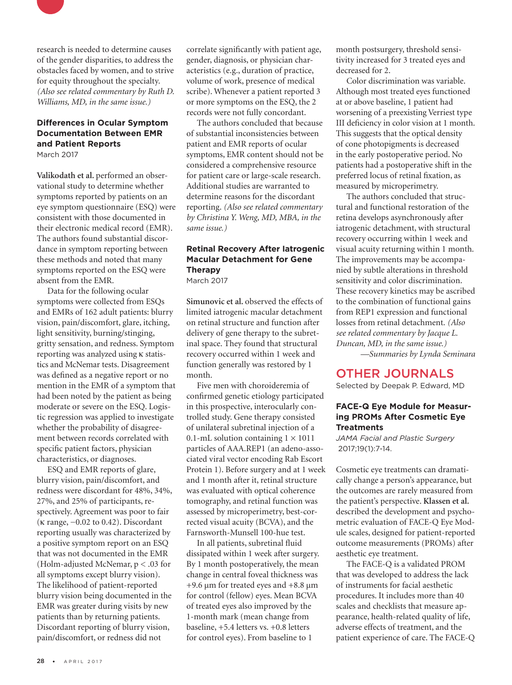

## **Differences in Ocular Symptom Documentation Between EMR and Patient Reports**

March 2017

**Valikodath et al.** performed an observational study to determine whether symptoms reported by patients on an eye symptom questionnaire (ESQ) were consistent with those documented in their electronic medical record (EMR). The authors found substantial discordance in symptom reporting between these methods and noted that many symptoms reported on the ESQ were absent from the EMR.

Data for the following ocular symptoms were collected from ESQs and EMRs of 162 adult patients: blurry vision, pain/discomfort, glare, itching, light sensitivity, burning/stinging, gritty sensation, and redness. Symptom reporting was analyzed using κ statistics and McNemar tests. Disagreement was defined as a negative report or no mention in the EMR of a symptom that had been noted by the patient as being moderate or severe on the ESQ. Logistic regression was applied to investigate whether the probability of disagreement between records correlated with specific patient factors, physician characteristics, or diagnoses.

ESQ and EMR reports of glare, blurry vision, pain/discomfort, and redness were discordant for 48%, 34%, 27%, and 25% of participants, respectively. Agreement was poor to fair (κ range, −0.02 to 0.42). Discordant reporting usually was characterized by a positive symptom report on an ESQ that was not documented in the EMR (Holm-adjusted McNemar, p < .03 for all symptoms except blurry vision). The likelihood of patient-reported blurry vision being documented in the EMR was greater during visits by new patients than by returning patients. Discordant reporting of blurry vision, pain/discomfort, or redness did not

correlate significantly with patient age, gender, diagnosis, or physician characteristics (e.g., duration of practice, volume of work, presence of medical scribe). Whenever a patient reported 3 or more symptoms on the ESQ, the 2 records were not fully concordant.

The authors concluded that because of substantial inconsistencies between patient and EMR reports of ocular symptoms, EMR content should not be considered a comprehensive resource for patient care or large-scale research. Additional studies are warranted to determine reasons for the discordant reporting. *(Also see related commentary by Christina Y. Weng, MD, MBA, in the same issue.)*

#### **Retinal Recovery After Iatrogenic Macular Detachment for Gene Therapy** March 2017

**Simunovic et al.** observed the effects of limited iatrogenic macular detachment on retinal structure and function after delivery of gene therapy to the subretinal space. They found that structural recovery occurred within 1 week and function generally was restored by 1 month.

Five men with choroideremia of confirmed genetic etiology participated in this prospective, interocularly controlled study. Gene therapy consisted of unilateral subretinal injection of a 0.1-mL solution containing  $1 \times 1011$ particles of AAA.REP1 (an adeno-associated viral vector encoding Rab Escort Protein 1). Before surgery and at 1 week and 1 month after it, retinal structure was evaluated with optical coherence tomography, and retinal function was assessed by microperimetry, best-corrected visual acuity (BCVA), and the Farnsworth-Munsell 100-hue test.

In all patients, subretinal fluid dissipated within 1 week after surgery. By 1 month postoperatively, the mean change in central foveal thickness was +9.6 μm for treated eyes and +8.8 μm for control (fellow) eyes. Mean BCVA of treated eyes also improved by the 1-month mark (mean change from baseline, +5.4 letters vs. +0.8 letters for control eyes). From baseline to 1

month postsurgery, threshold sensitivity increased for 3 treated eyes and decreased for 2.

Color discrimination was variable. Although most treated eyes functioned at or above baseline, 1 patient had worsening of a preexisting Verriest type III deficiency in color vision at 1 month. This suggests that the optical density of cone photopigments is decreased in the early postoperative period. No patients had a postoperative shift in the preferred locus of retinal fixation, as measured by microperimetry.

The authors concluded that structural and functional restoration of the retina develops asynchronously after iatrogenic detachment, with structural recovery occurring within 1 week and visual acuity returning within 1 month. The improvements may be accompanied by subtle alterations in threshold sensitivity and color discrimination. These recovery kinetics may be ascribed to the combination of functional gains from REP1 expression and functional losses from retinal detachment. *(Also see related commentary by Jacque L. Duncan, MD, in the same issue.) —Summaries by Lynda Seminara*

# OTHER JOURNALS

Selected by Deepak P. Edward, MD

#### **FACE-Q Eye Module for Measuring PROMs After Cosmetic Eye Treatments**

*JAMA Facial and Plastic Surgery* 2017;19(1):7-14.

Cosmetic eye treatments can dramatically change a person's appearance, but the outcomes are rarely measured from the patient's perspective. **Klassen et al.**  described the development and psychometric evaluation of FACE-Q Eye Module scales, designed for patient-reported outcome measurements (PROMs) after aesthetic eye treatment.

The FACE-Q is a validated PROM that was developed to address the lack of instruments for facial aesthetic procedures. It includes more than 40 scales and checklists that measure appearance, health-related quality of life, adverse effects of treatment, and the patient experience of care. The FACE-Q